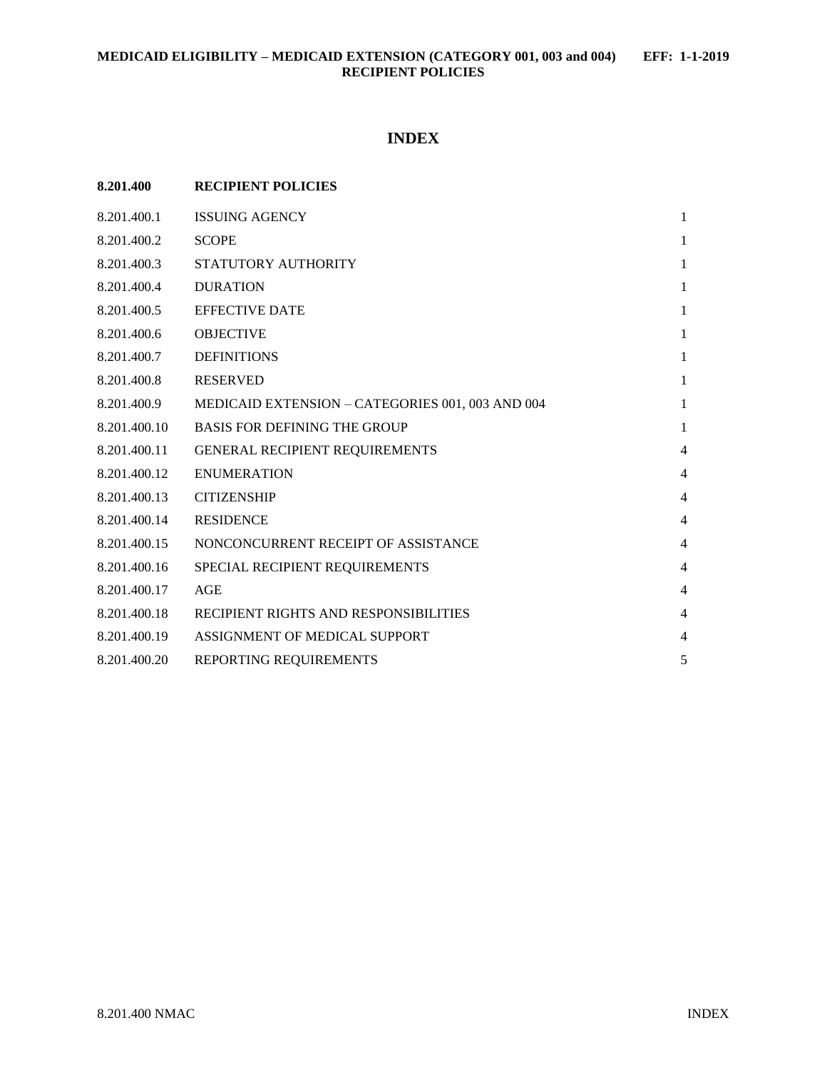# **INDEX**

| 8.201.400    | <b>RECIPIENT POLICIES</b>                        |                |
|--------------|--------------------------------------------------|----------------|
| 8.201.400.1  | <b>ISSUING AGENCY</b>                            | $\mathbf{1}$   |
| 8.201.400.2  | <b>SCOPE</b>                                     | $\mathbf{1}$   |
| 8.201.400.3  | STATUTORY AUTHORITY                              | $\mathbf{1}$   |
| 8.201.400.4  | <b>DURATION</b>                                  | $\mathbf{1}$   |
| 8.201.400.5  | <b>EFFECTIVE DATE</b>                            | $\mathbf{1}$   |
| 8.201.400.6  | <b>OBJECTIVE</b>                                 | $\mathbf{1}$   |
| 8.201.400.7  | <b>DEFINITIONS</b>                               | $\mathbf{1}$   |
| 8.201.400.8  | <b>RESERVED</b>                                  | $\mathbf{1}$   |
| 8.201.400.9  | MEDICAID EXTENSION - CATEGORIES 001, 003 AND 004 | $\mathbf{1}$   |
| 8.201.400.10 | <b>BASIS FOR DEFINING THE GROUP</b>              | $\mathbf{1}$   |
| 8.201.400.11 | GENERAL RECIPIENT REQUIREMENTS                   | $\overline{4}$ |
| 8.201.400.12 | <b>ENUMERATION</b>                               | $\overline{4}$ |
| 8.201.400.13 | <b>CITIZENSHIP</b>                               | $\overline{4}$ |
| 8.201.400.14 | <b>RESIDENCE</b>                                 | $\overline{4}$ |
| 8.201.400.15 | NONCONCURRENT RECEIPT OF ASSISTANCE              | $\overline{4}$ |
| 8.201.400.16 | SPECIAL RECIPIENT REQUIREMENTS                   | $\overline{4}$ |
| 8.201.400.17 | AGE                                              | $\overline{4}$ |
| 8.201.400.18 | RECIPIENT RIGHTS AND RESPONSIBILITIES            | $\overline{4}$ |
| 8.201.400.19 | ASSIGNMENT OF MEDICAL SUPPORT                    | 4              |
| 8.201.400.20 | REPORTING REQUIREMENTS                           | 5              |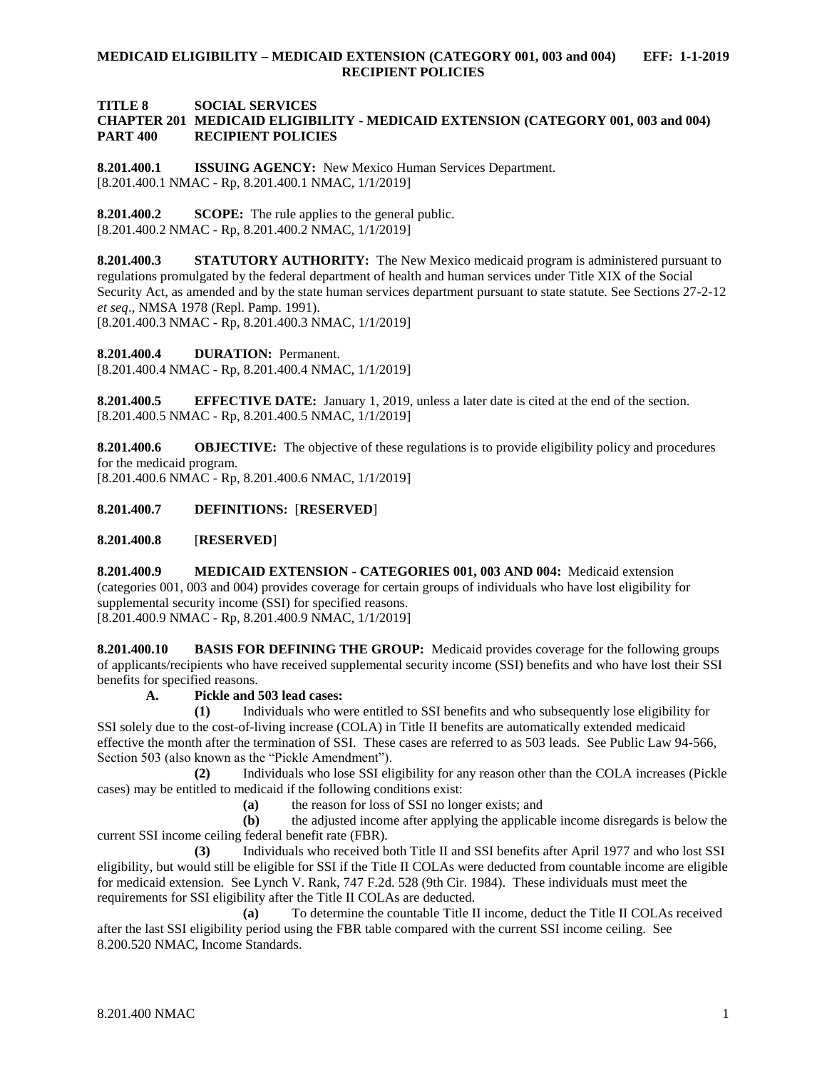### **TITLE 8 SOCIAL SERVICES CHAPTER 201 MEDICAID ELIGIBILITY - MEDICAID EXTENSION (CATEGORY 001, 003 and 004) PART 400 RECIPIENT POLICIES**

<span id="page-1-0"></span>**8.201.400.1 ISSUING AGENCY:** New Mexico Human Services Department. [8.201.400.1 NMAC - Rp, 8.201.400.1 NMAC, 1/1/2019]

<span id="page-1-1"></span>**8.201.400.2 SCOPE:** The rule applies to the general public. [8.201.400.2 NMAC - Rp, 8.201.400.2 NMAC, 1/1/2019]

<span id="page-1-2"></span>**8.201.400.3 STATUTORY AUTHORITY:** The New Mexico medicaid program is administered pursuant to regulations promulgated by the federal department of health and human services under Title XIX of the Social Security Act, as amended and by the state human services department pursuant to state statute. See Sections 27-2-12 *et seq*., NMSA 1978 (Repl. Pamp. 1991).

[8.201.400.3 NMAC - Rp, 8.201.400.3 NMAC, 1/1/2019]

<span id="page-1-3"></span>**8.201.400.4 DURATION:** Permanent. [8.201.400.4 NMAC - Rp, 8.201.400.4 NMAC, 1/1/2019]

<span id="page-1-4"></span>**8.201.400.5 EFFECTIVE DATE:** January 1, 2019, unless a later date is cited at the end of the section. [8.201.400.5 NMAC - Rp, 8.201.400.5 NMAC, 1/1/2019]

<span id="page-1-5"></span>**8.201.400.6 OBJECTIVE:** The objective of these regulations is to provide eligibility policy and procedures for the medicaid program.

[8.201.400.6 NMAC - Rp, 8.201.400.6 NMAC, 1/1/2019]

<span id="page-1-6"></span>**8.201.400.7 DEFINITIONS:** [**RESERVED**]

<span id="page-1-7"></span>**8.201.400.8** [**RESERVED**]

<span id="page-1-8"></span>**8.201.400.9 MEDICAID EXTENSION - CATEGORIES 001, 003 AND 004:** Medicaid extension (categories 001, 003 and 004) provides coverage for certain groups of individuals who have lost eligibility for supplemental security income (SSI) for specified reasons. [8.201.400.9 NMAC - Rp, 8.201.400.9 NMAC, 1/1/2019]

<span id="page-1-9"></span>**8.201.400.10 BASIS FOR DEFINING THE GROUP:** Medicaid provides coverage for the following groups of applicants/recipients who have received supplemental security income (SSI) benefits and who have lost their SSI benefits for specified reasons.

**A. Pickle and 503 lead cases:**

**(1)** Individuals who were entitled to SSI benefits and who subsequently lose eligibility for SSI solely due to the cost-of-living increase (COLA) in Title II benefits are automatically extended medicaid effective the month after the termination of SSI. These cases are referred to as 503 leads. See Public Law 94-566, Section 503 (also known as the "Pickle Amendment").

**(2)** Individuals who lose SSI eligibility for any reason other than the COLA increases (Pickle cases) may be entitled to medicaid if the following conditions exist:

**(a)** the reason for loss of SSI no longer exists; and

**(b)** the adjusted income after applying the applicable income disregards is below the current SSI income ceiling federal benefit rate (FBR).

**(3)** Individuals who received both Title II and SSI benefits after April 1977 and who lost SSI eligibility, but would still be eligible for SSI if the Title II COLAs were deducted from countable income are eligible for medicaid extension. See Lynch V. Rank, 747 F.2d. 528 (9th Cir. 1984). These individuals must meet the requirements for SSI eligibility after the Title II COLAs are deducted.

**(a)** To determine the countable Title II income, deduct the Title II COLAs received after the last SSI eligibility period using the FBR table compared with the current SSI income ceiling. See 8.200.520 NMAC, Income Standards.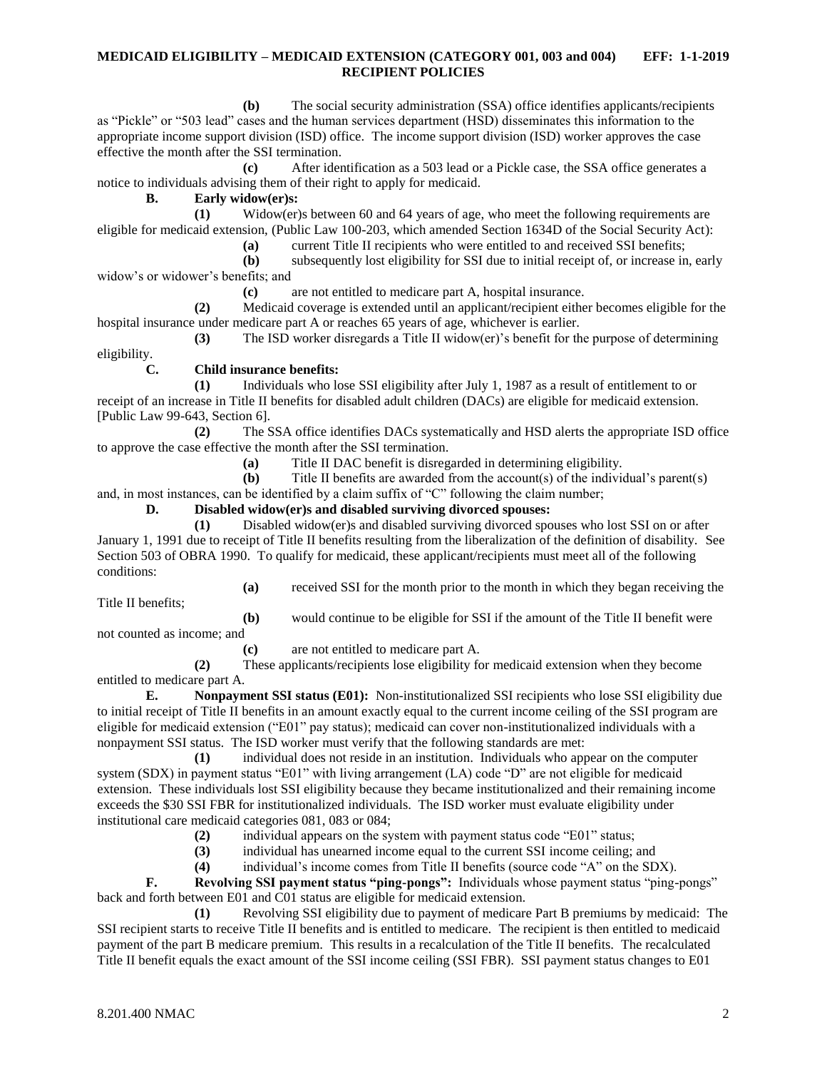**(b)** The social security administration (SSA) office identifies applicants/recipients as "Pickle" or "503 lead" cases and the human services department (HSD) disseminates this information to the appropriate income support division (ISD) office. The income support division (ISD) worker approves the case effective the month after the SSI termination.

**(c)** After identification as a 503 lead or a Pickle case, the SSA office generates a notice to individuals advising them of their right to apply for medicaid.

**B. Early widow(er)s:**

**(1)** Widow(er)s between 60 and 64 years of age, who meet the following requirements are eligible for medicaid extension, (Public Law 100-203, which amended Section 1634D of the Social Security Act):

**(a)** current Title II recipients who were entitled to and received SSI benefits;

**(b)** subsequently lost eligibility for SSI due to initial receipt of, or increase in, early widow's or widower's benefits; and

**(c)** are not entitled to medicare part A, hospital insurance.

**(2)** Medicaid coverage is extended until an applicant/recipient either becomes eligible for the hospital insurance under medicare part A or reaches 65 years of age, whichever is earlier.

**(3)** The ISD worker disregards a Title II widow(er)'s benefit for the purpose of determining

eligibility.

**C. Child insurance benefits:**

**(1)** Individuals who lose SSI eligibility after July 1, 1987 as a result of entitlement to or receipt of an increase in Title II benefits for disabled adult children (DACs) are eligible for medicaid extension. [Public Law 99-643, Section 6].

**(2)** The SSA office identifies DACs systematically and HSD alerts the appropriate ISD office to approve the case effective the month after the SSI termination.

**(a)** Title II DAC benefit is disregarded in determining eligibility.

**(b)** Title II benefits are awarded from the account(s) of the individual's parent(s)

and, in most instances, can be identified by a claim suffix of "C" following the claim number;

### **D. Disabled widow(er)s and disabled surviving divorced spouses:**

**(1)** Disabled widow(er)s and disabled surviving divorced spouses who lost SSI on or after January 1, 1991 due to receipt of Title II benefits resulting from the liberalization of the definition of disability. See Section 503 of OBRA 1990. To qualify for medicaid, these applicant/recipients must meet all of the following conditions:

Title II benefits;

**(a)** received SSI for the month prior to the month in which they began receiving the

**(b)** would continue to be eligible for SSI if the amount of the Title II benefit were not counted as income; and

**(c)** are not entitled to medicare part A.

**(2)** These applicants/recipients lose eligibility for medicaid extension when they become entitled to medicare part A.

**E. Nonpayment SSI status (E01):** Non-institutionalized SSI recipients who lose SSI eligibility due to initial receipt of Title II benefits in an amount exactly equal to the current income ceiling of the SSI program are eligible for medicaid extension ("E01" pay status); medicaid can cover non-institutionalized individuals with a nonpayment SSI status. The ISD worker must verify that the following standards are met:

**(1)** individual does not reside in an institution. Individuals who appear on the computer system (SDX) in payment status "E01" with living arrangement (LA) code "D" are not eligible for medicaid extension. These individuals lost SSI eligibility because they became institutionalized and their remaining income exceeds the \$30 SSI FBR for institutionalized individuals. The ISD worker must evaluate eligibility under institutional care medicaid categories 081, 083 or 084;

**(2)** individual appears on the system with payment status code "E01" status;

**(3)** individual has unearned income equal to the current SSI income ceiling; and

**(4)** individual's income comes from Title II benefits (source code "A" on the SDX).

**F. Revolving SSI payment status "ping-pongs":** Individuals whose payment status "ping-pongs" back and forth between E01 and C01 status are eligible for medicaid extension.

**(1)** Revolving SSI eligibility due to payment of medicare Part B premiums by medicaid: The SSI recipient starts to receive Title II benefits and is entitled to medicare. The recipient is then entitled to medicaid payment of the part B medicare premium. This results in a recalculation of the Title II benefits. The recalculated Title II benefit equals the exact amount of the SSI income ceiling (SSI FBR). SSI payment status changes to E01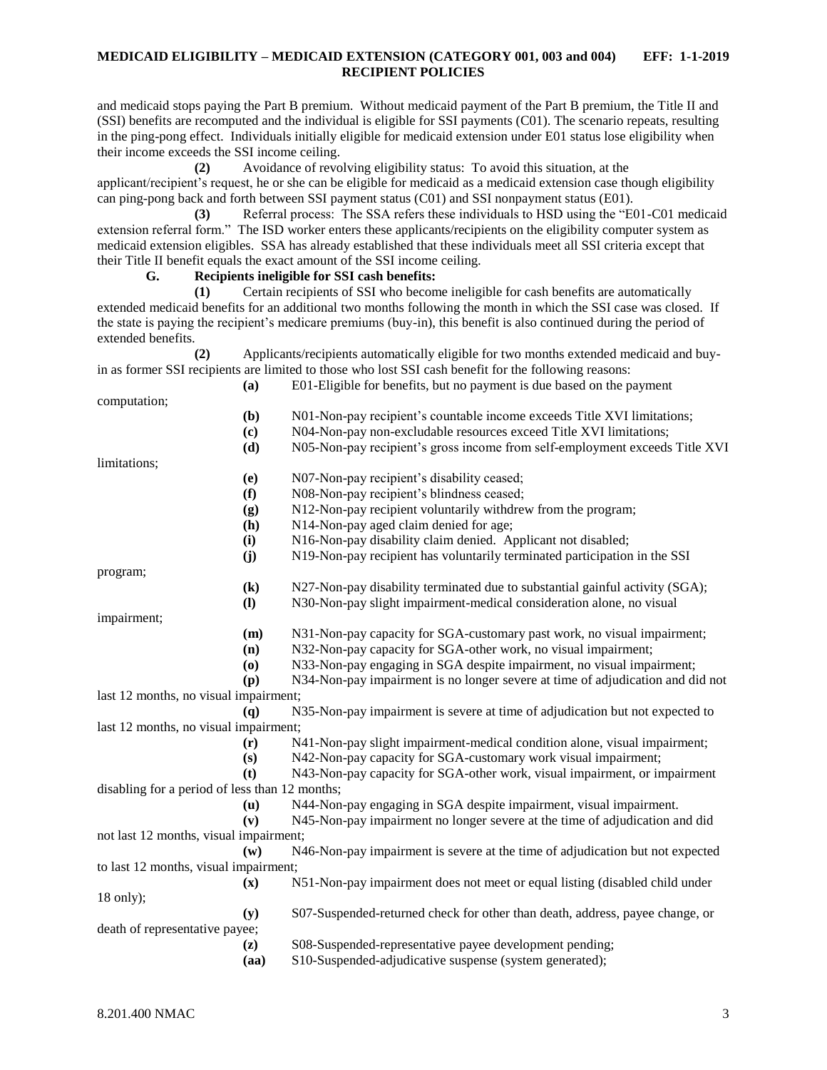and medicaid stops paying the Part B premium. Without medicaid payment of the Part B premium, the Title II and (SSI) benefits are recomputed and the individual is eligible for SSI payments (C01). The scenario repeats, resulting in the ping-pong effect. Individuals initially eligible for medicaid extension under E01 status lose eligibility when their income exceeds the SSI income ceiling.

**(2)** Avoidance of revolving eligibility status: To avoid this situation, at the applicant/recipient's request, he or she can be eligible for medicaid as a medicaid extension case though eligibility can ping-pong back and forth between SSI payment status (C01) and SSI nonpayment status (E01).

**(3)** Referral process: The SSA refers these individuals to HSD using the "E01-C01 medicaid extension referral form." The ISD worker enters these applicants/recipients on the eligibility computer system as medicaid extension eligibles. SSA has already established that these individuals meet all SSI criteria except that their Title II benefit equals the exact amount of the SSI income ceiling.

#### **G. Recipients ineligible for SSI cash benefits:**

**(1)** Certain recipients of SSI who become ineligible for cash benefits are automatically extended medicaid benefits for an additional two months following the month in which the SSI case was closed. If the state is paying the recipient's medicare premiums (buy-in), this benefit is also continued during the period of extended benefits.

**(2)** Applicants/recipients automatically eligible for two months extended medicaid and buyin as former SSI recipients are limited to those who lost SSI cash benefit for the following reasons:

|                                                | (a)                        | E01-Eligible for benefits, but no payment is due based on the payment          |
|------------------------------------------------|----------------------------|--------------------------------------------------------------------------------|
| computation;                                   |                            |                                                                                |
|                                                | (b)                        | N01-Non-pay recipient's countable income exceeds Title XVI limitations;        |
|                                                | (c)                        | N04-Non-pay non-excludable resources exceed Title XVI limitations;             |
|                                                | (d)                        | N05-Non-pay recipient's gross income from self-employment exceeds Title XVI    |
| limitations;                                   |                            |                                                                                |
|                                                | (e)                        | N07-Non-pay recipient's disability ceased;                                     |
|                                                | (f)                        | N08-Non-pay recipient's blindness ceased;                                      |
|                                                | (g)                        | N12-Non-pay recipient voluntarily withdrew from the program;                   |
|                                                | (h)                        | N14-Non-pay aged claim denied for age;                                         |
|                                                | (i)                        | N16-Non-pay disability claim denied. Applicant not disabled;                   |
|                                                | (i)                        | N19-Non-pay recipient has voluntarily terminated participation in the SSI      |
| program;                                       |                            |                                                                                |
|                                                | $\left( \mathbf{k}\right)$ | N27-Non-pay disability terminated due to substantial gainful activity (SGA);   |
|                                                | $\mathbf{I}$               | N30-Non-pay slight impairment-medical consideration alone, no visual           |
| impairment;                                    |                            |                                                                                |
|                                                | (m)                        | N31-Non-pay capacity for SGA-customary past work, no visual impairment;        |
|                                                | (n)                        | N32-Non-pay capacity for SGA-other work, no visual impairment;                 |
|                                                | (0)                        | N33-Non-pay engaging in SGA despite impairment, no visual impairment;          |
|                                                | (p)                        | N34-Non-pay impairment is no longer severe at time of adjudication and did not |
| last 12 months, no visual impairment;          |                            |                                                                                |
|                                                | (q)                        | N35-Non-pay impairment is severe at time of adjudication but not expected to   |
| last 12 months, no visual impairment;          |                            |                                                                                |
|                                                | (r)                        | N41-Non-pay slight impairment-medical condition alone, visual impairment;      |
|                                                | (s)                        | N42-Non-pay capacity for SGA-customary work visual impairment;                 |
|                                                | (t)                        | N43-Non-pay capacity for SGA-other work, visual impairment, or impairment      |
| disabling for a period of less than 12 months; |                            |                                                                                |
|                                                | $(\mathbf{u})$             | N44-Non-pay engaging in SGA despite impairment, visual impairment.             |
|                                                | (v)                        | N45-Non-pay impairment no longer severe at the time of adjudication and did    |
| not last 12 months, visual impairment;         |                            |                                                                                |
|                                                | $(\mathbf{w})$             | N46-Non-pay impairment is severe at the time of adjudication but not expected  |
| to last 12 months, visual impairment;          |                            |                                                                                |
|                                                | (x)                        | N51-Non-pay impairment does not meet or equal listing (disabled child under    |
| $18$ only);                                    |                            |                                                                                |
|                                                | (y)                        | S07-Suspended-returned check for other than death, address, payee change, or   |
| death of representative payee;                 |                            |                                                                                |
|                                                | (z)                        | S08-Suspended-representative payee development pending;                        |
|                                                | (aa)                       | S10-Suspended-adjudicative suspense (system generated);                        |
|                                                |                            |                                                                                |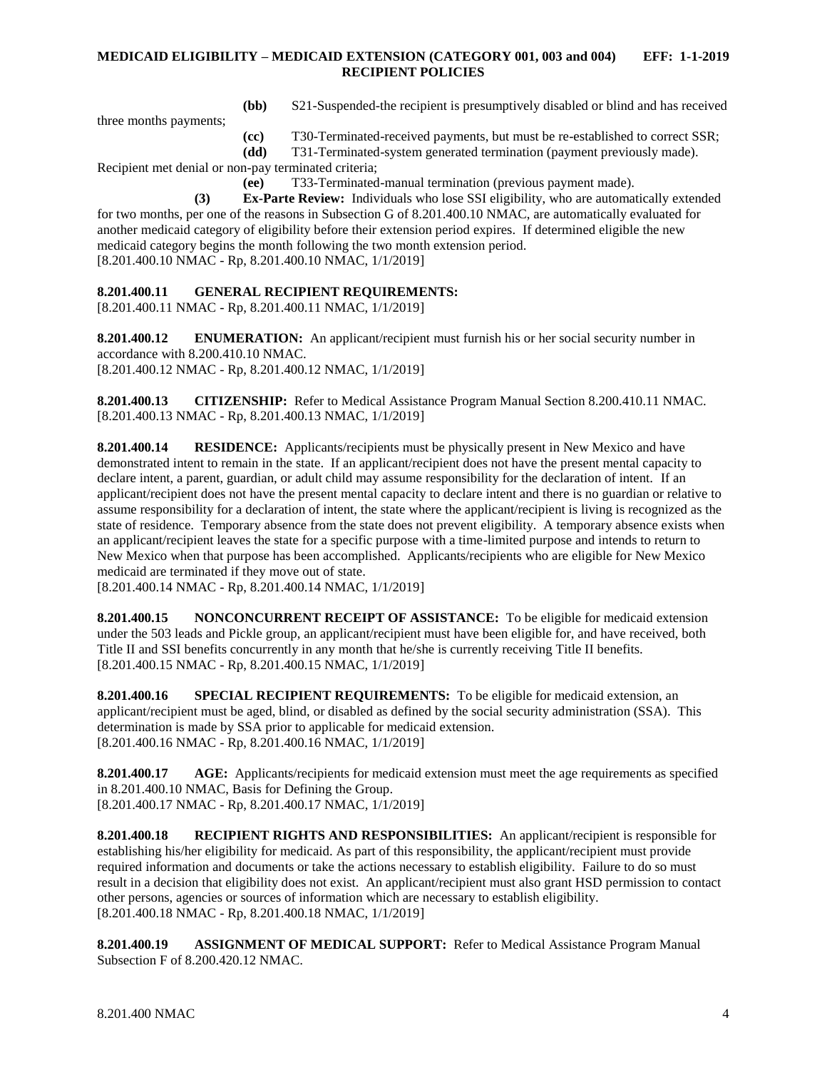**(bb)** S21-Suspended-the recipient is presumptively disabled or blind and has received

three months payments;

**(cc)** T30-Terminated-received payments, but must be re-established to correct SSR;

**(dd)** T31-Terminated-system generated termination (payment previously made). Recipient met denial or non-pay terminated criteria;

**(ee)** T33-Terminated-manual termination (previous payment made).

**(3) Ex-Parte Review:** Individuals who lose SSI eligibility, who are automatically extended for two months, per one of the reasons in Subsection G of 8.201.400.10 NMAC, are automatically evaluated for another medicaid category of eligibility before their extension period expires. If determined eligible the new medicaid category begins the month following the two month extension period. [8.201.400.10 NMAC - Rp, 8.201.400.10 NMAC, 1/1/2019]

<span id="page-4-0"></span>**8.201.400.11 GENERAL RECIPIENT REQUIREMENTS:**

[8.201.400.11 NMAC - Rp, 8.201.400.11 NMAC, 1/1/2019]

<span id="page-4-1"></span>**8.201.400.12 ENUMERATION:** An applicant/recipient must furnish his or her social security number in accordance with 8.200.410.10 NMAC. [8.201.400.12 NMAC - Rp, 8.201.400.12 NMAC, 1/1/2019]

<span id="page-4-2"></span>**8.201.400.13 CITIZENSHIP:** Refer to Medical Assistance Program Manual Section 8.200.410.11 NMAC. [8.201.400.13 NMAC - Rp, 8.201.400.13 NMAC, 1/1/2019]

<span id="page-4-3"></span>**8.201.400.14 RESIDENCE:** Applicants/recipients must be physically present in New Mexico and have demonstrated intent to remain in the state. If an applicant/recipient does not have the present mental capacity to declare intent, a parent, guardian, or adult child may assume responsibility for the declaration of intent. If an applicant/recipient does not have the present mental capacity to declare intent and there is no guardian or relative to assume responsibility for a declaration of intent, the state where the applicant/recipient is living is recognized as the state of residence. Temporary absence from the state does not prevent eligibility. A temporary absence exists when an applicant/recipient leaves the state for a specific purpose with a time-limited purpose and intends to return to New Mexico when that purpose has been accomplished. Applicants/recipients who are eligible for New Mexico medicaid are terminated if they move out of state.

[8.201.400.14 NMAC - Rp, 8.201.400.14 NMAC, 1/1/2019]

<span id="page-4-4"></span>**8.201.400.15 NONCONCURRENT RECEIPT OF ASSISTANCE:** To be eligible for medicaid extension under the 503 leads and Pickle group, an applicant/recipient must have been eligible for, and have received, both Title II and SSI benefits concurrently in any month that he/she is currently receiving Title II benefits. [8.201.400.15 NMAC - Rp, 8.201.400.15 NMAC, 1/1/2019]

<span id="page-4-5"></span>**8.201.400.16 SPECIAL RECIPIENT REQUIREMENTS:** To be eligible for medicaid extension, an applicant/recipient must be aged, blind, or disabled as defined by the social security administration (SSA). This determination is made by SSA prior to applicable for medicaid extension. [8.201.400.16 NMAC - Rp, 8.201.400.16 NMAC, 1/1/2019]

<span id="page-4-6"></span>**8.201.400.17 AGE:** Applicants/recipients for medicaid extension must meet the age requirements as specified in 8.201.400.10 NMAC, Basis for Defining the Group. [8.201.400.17 NMAC - Rp, 8.201.400.17 NMAC, 1/1/2019]

<span id="page-4-7"></span>**8.201.400.18 RECIPIENT RIGHTS AND RESPONSIBILITIES:** An applicant/recipient is responsible for establishing his/her eligibility for medicaid. As part of this responsibility, the applicant/recipient must provide required information and documents or take the actions necessary to establish eligibility. Failure to do so must result in a decision that eligibility does not exist. An applicant/recipient must also grant HSD permission to contact other persons, agencies or sources of information which are necessary to establish eligibility. [8.201.400.18 NMAC - Rp, 8.201.400.18 NMAC, 1/1/2019]

<span id="page-4-8"></span>**8.201.400.19 ASSIGNMENT OF MEDICAL SUPPORT:** Refer to Medical Assistance Program Manual Subsection F of 8.200.420.12 NMAC.